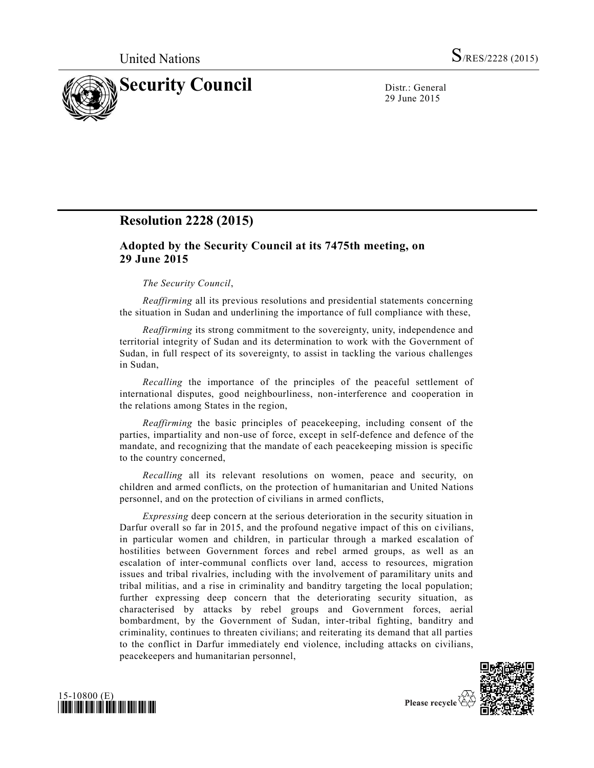

29 June 2015

# **Resolution 2228 (2015)**

## **Adopted by the Security Council at its 7475th meeting, on 29 June 2015**

### *The Security Council*,

*Reaffirming* all its previous resolutions and presidential statements concerning the situation in Sudan and underlining the importance of full compliance with these,

*Reaffirming* its strong commitment to the sovereignty, unity, independence and territorial integrity of Sudan and its determination to work with the Government of Sudan, in full respect of its sovereignty, to assist in tackling the various challenges in Sudan,

*Recalling* the importance of the principles of the peaceful settlement of international disputes, good neighbourliness, non-interference and cooperation in the relations among States in the region,

*Reaffirming* the basic principles of peacekeeping, including consent of the parties, impartiality and non-use of force, except in self-defence and defence of the mandate, and recognizing that the mandate of each peacekeeping mission is specific to the country concerned,

*Recalling* all its relevant resolutions on women, peace and security, on children and armed conflicts, on the protection of humanitarian and United Nations personnel, and on the protection of civilians in armed conflicts,

*Expressing* deep concern at the serious deterioration in the security situation in Darfur overall so far in 2015, and the profound negative impact of this on civilians, in particular women and children, in particular through a marked escalation of hostilities between Government forces and rebel armed groups, as well as an escalation of inter-communal conflicts over land, access to resources, migration issues and tribal rivalries, including with the involvement of paramilitary units and tribal militias, and a rise in criminality and banditry targeting the local population; further expressing deep concern that the deteriorating security situation, as characterised by attacks by rebel groups and Government forces, aerial bombardment, by the Government of Sudan, inter-tribal fighting, banditry and criminality, continues to threaten civilians; and reiterating its demand that all parties to the conflict in Darfur immediately end violence, including attacks on civilians, peacekeepers and humanitarian personnel,



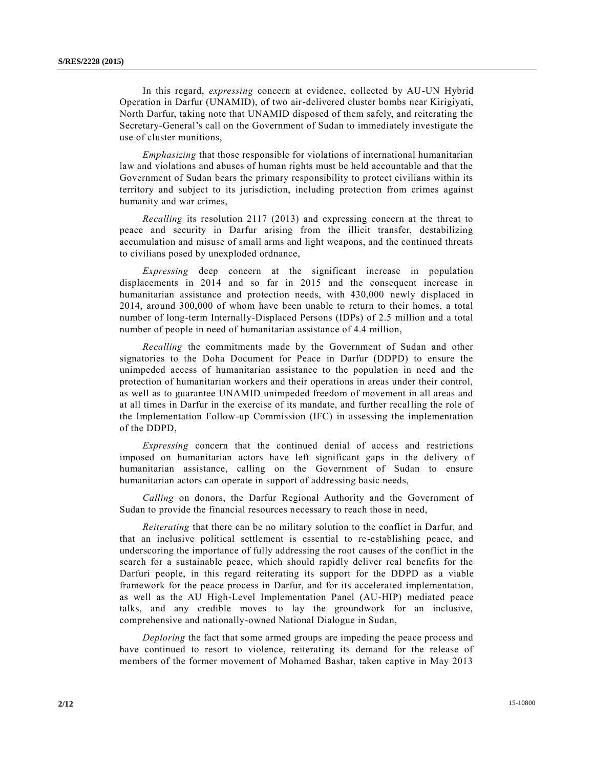In this regard, *expressing* concern at evidence, collected by AU-UN Hybrid Operation in Darfur (UNAMID), of two air-delivered cluster bombs near Kirigiyati, North Darfur, taking note that UNAMID disposed of them safely, and reiterating the Secretary-General's call on the Government of Sudan to immediately investigate the use of cluster munitions,

*Emphasizing* that those responsible for violations of international humanitarian law and violations and abuses of human rights must be held accountable and that the Government of Sudan bears the primary responsibility to protect civilians within its territory and subject to its jurisdiction, including protection from crimes against humanity and war crimes,

*Recalling* its resolution 2117 (2013) and expressing concern at the threat to peace and security in Darfur arising from the illicit transfer, destabilizing accumulation and misuse of small arms and light weapons, and the continued threats to civilians posed by unexploded ordnance,

*Expressing* deep concern at the significant increase in population displacements in 2014 and so far in 2015 and the consequent increase in humanitarian assistance and protection needs, with 430,000 newly displaced in 2014, around 300,000 of whom have been unable to return to their homes, a total number of long-term Internally-Displaced Persons (IDPs) of 2.5 million and a total number of people in need of humanitarian assistance of 4.4 million,

*Recalling* the commitments made by the Government of Sudan and other signatories to the Doha Document for Peace in Darfur (DDPD) to ensure the unimpeded access of humanitarian assistance to the population in need and the protection of humanitarian workers and their operations in areas under their control, as well as to guarantee UNAMID unimpeded freedom of movement in all areas and at all times in Darfur in the exercise of its mandate, and further recalling the role of the Implementation Follow-up Commission (IFC) in assessing the implementation of the DDPD,

*Expressing* concern that the continued denial of access and restrictions imposed on humanitarian actors have left significant gaps in the delivery of humanitarian assistance, calling on the Government of Sudan to ensure humanitarian actors can operate in support of addressing basic needs,

*Calling* on donors, the Darfur Regional Authority and the Government of Sudan to provide the financial resources necessary to reach those in need,

*Reiterating* that there can be no military solution to the conflict in Darfur, and that an inclusive political settlement is essential to re-establishing peace, and underscoring the importance of fully addressing the root causes of the conflict in the search for a sustainable peace, which should rapidly deliver real benefits for the Darfuri people, in this regard reiterating its support for the DDPD as a viable framework for the peace process in Darfur, and for its accelerated implementation, as well as the AU High-Level Implementation Panel (AU-HIP) mediated peace talks, and any credible moves to lay the groundwork for an inclusive, comprehensive and nationally-owned National Dialogue in Sudan,

*Deploring* the fact that some armed groups are impeding the peace process and have continued to resort to violence, reiterating its demand for the release of members of the former movement of Mohamed Bashar, taken captive in May 2013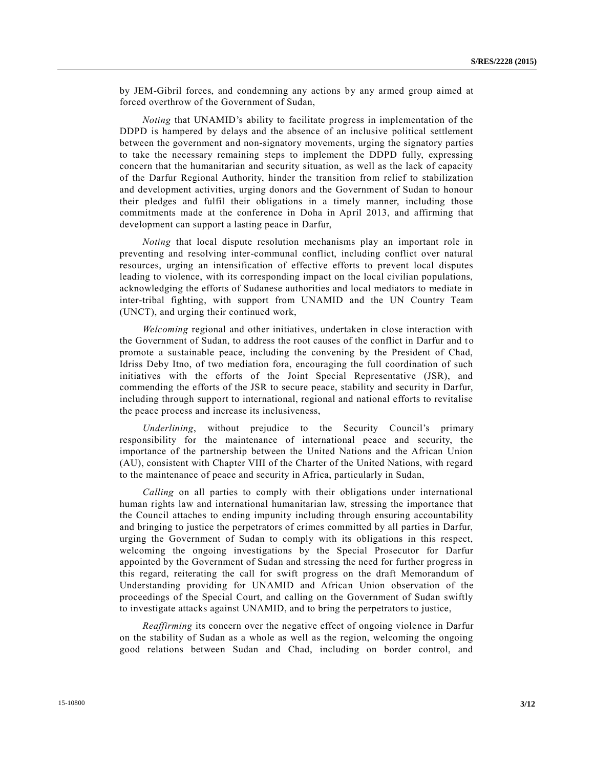by JEM-Gibril forces, and condemning any actions by any armed group aimed at forced overthrow of the Government of Sudan,

*Noting* that UNAMID's ability to facilitate progress in implementation of the DDPD is hampered by delays and the absence of an inclusive political settlement between the government and non-signatory movements, urging the signatory parties to take the necessary remaining steps to implement the DDPD fully, expressing concern that the humanitarian and security situation, as well as the lack of capacity of the Darfur Regional Authority, hinder the transition from relief to stabilization and development activities, urging donors and the Government of Sudan to honour their pledges and fulfil their obligations in a timely manner, including those commitments made at the conference in Doha in April 2013, and affirming that development can support a lasting peace in Darfur,

*Noting* that local dispute resolution mechanisms play an important role in preventing and resolving inter-communal conflict, including conflict over natural resources, urging an intensification of effective efforts to prevent local disputes leading to violence, with its corresponding impact on the local civilian populations, acknowledging the efforts of Sudanese authorities and local mediators to mediate in inter-tribal fighting, with support from UNAMID and the UN Country Team (UNCT), and urging their continued work,

*Welcoming* regional and other initiatives, undertaken in close interaction with the Government of Sudan, to address the root causes of the conflict in Darfur and to promote a sustainable peace, including the convening by the President of Chad, Idriss Deby Itno, of two mediation fora, encouraging the full coordination of such initiatives with the efforts of the Joint Special Representative (JSR), and commending the efforts of the JSR to secure peace, stability and security in Darfur, including through support to international, regional and national efforts to revitalise the peace process and increase its inclusiveness,

*Underlining*, without prejudice to the Security Council's primary responsibility for the maintenance of international peace and security, the importance of the partnership between the United Nations and the African Union (AU), consistent with Chapter VIII of the Charter of the United Nations, with regard to the maintenance of peace and security in Africa, particularly in Sudan,

*Calling* on all parties to comply with their obligations under international human rights law and international humanitarian law, stressing the importance that the Council attaches to ending impunity including through ensuring accountability and bringing to justice the perpetrators of crimes committed by all parties in Darfur, urging the Government of Sudan to comply with its obligations in this respect, welcoming the ongoing investigations by the Special Prosecutor for Darfur appointed by the Government of Sudan and stressing the need for further progress in this regard, reiterating the call for swift progress on the draft Memorandum of Understanding providing for UNAMID and African Union observation of the proceedings of the Special Court, and calling on the Government of Sudan swiftly to investigate attacks against UNAMID, and to bring the perpetrators to justice,

*Reaffirming* its concern over the negative effect of ongoing violence in Darfur on the stability of Sudan as a whole as well as the region, welcoming the ongoing good relations between Sudan and Chad, including on border control, and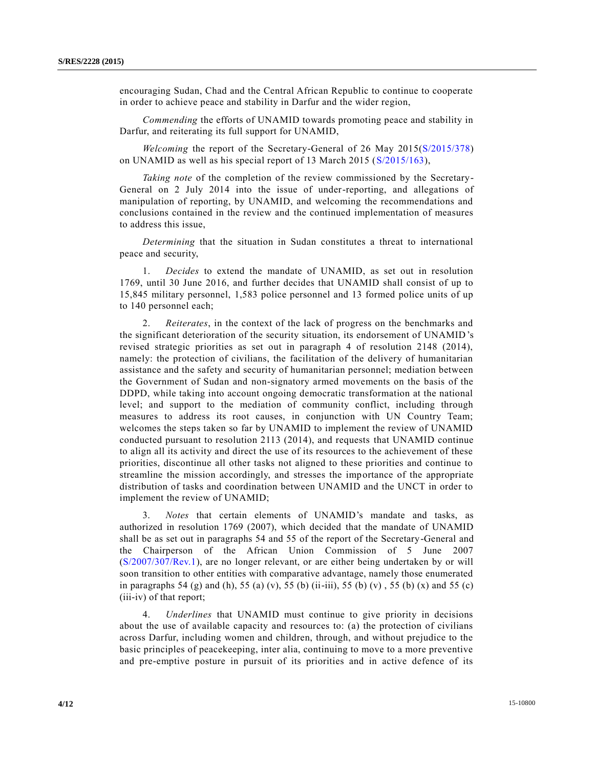encouraging Sudan, Chad and the Central African Republic to continue to cooperate in order to achieve peace and stability in Darfur and the wider region,

*Commending* the efforts of UNAMID towards promoting peace and stability in Darfur, and reiterating its full support for UNAMID,

*Welcoming* the report of the Secretary-General of 26 May 2015[\(S/2015/378\)](http://undocs.org/S/2015/378) on UNAMID as well as his special report of 13 March 2015 [\(S/2015/163\)](http://undocs.org/S/2015/163),

*Taking note* of the completion of the review commissioned by the Secretary-General on 2 July 2014 into the issue of under-reporting, and allegations of manipulation of reporting, by UNAMID, and welcoming the recommendations and conclusions contained in the review and the continued implementation of measures to address this issue,

*Determining* that the situation in Sudan constitutes a threat to international peace and security,

1. *Decides* to extend the mandate of UNAMID, as set out in resolution 1769, until 30 June 2016, and further decides that UNAMID shall consist of up to 15,845 military personnel, 1,583 police personnel and 13 formed police units of up to 140 personnel each;

2. *Reiterates*, in the context of the lack of progress on the benchmarks and the significant deterioration of the security situation, its endorsement of UNAMID's revised strategic priorities as set out in paragraph 4 of resolution 2148 (2014), namely: the protection of civilians, the facilitation of the delivery of humanitarian assistance and the safety and security of humanitarian personnel; mediation between the Government of Sudan and non-signatory armed movements on the basis of the DDPD, while taking into account ongoing democratic transformation at the national level; and support to the mediation of community conflict, including through measures to address its root causes, in conjunction with UN Country Team; welcomes the steps taken so far by UNAMID to implement the review of UNAMID conducted pursuant to resolution 2113 (2014), and requests that UNAMID continue to align all its activity and direct the use of its resources to the achievement of these priorities, discontinue all other tasks not aligned to these priorities and continue to streamline the mission accordingly, and stresses the importance of the appropriate distribution of tasks and coordination between UNAMID and the UNCT in order to implement the review of UNAMID;

3. *Notes* that certain elements of UNAMID's mandate and tasks, as authorized in resolution 1769 (2007), which decided that the mandate of UNAMID shall be as set out in paragraphs 54 and 55 of the report of the Secretary-General and the Chairperson of the African Union Commission of 5 June 2007 [\(S/2007/307/Rev.1\)](http://undocs.org/S/2007/307/Rev.1), are no longer relevant, or are either being undertaken by or will soon transition to other entities with comparative advantage, namely those enumerated in paragraphs 54 (g) and (h), 55 (a) (v), 55 (b) (ii-iii), 55 (b) (v), 55 (b) (x) and 55 (c) (iii-iv) of that report;

4. *Underlines* that UNAMID must continue to give priority in decisions about the use of available capacity and resources to: (a) the protection of civilians across Darfur, including women and children, through, and without prejudice to the basic principles of peacekeeping, inter alia, continuing to move to a more preventive and pre-emptive posture in pursuit of its priorities and in active defence of its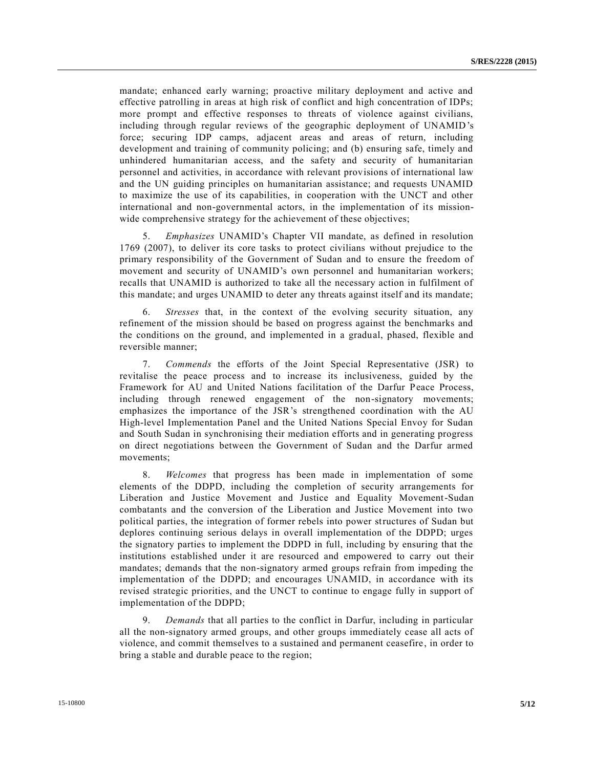mandate; enhanced early warning; proactive military deployment and active and effective patrolling in areas at high risk of conflict and high concentration of IDPs; more prompt and effective responses to threats of violence against civilians, including through regular reviews of the geographic deployment of UNAMID's force; securing IDP camps, adjacent areas and areas of return, including development and training of community policing; and (b) ensuring safe, timely and unhindered humanitarian access, and the safety and security of humanitarian personnel and activities, in accordance with relevant provisions of international law and the UN guiding principles on humanitarian assistance; and requests UNAMID to maximize the use of its capabilities, in cooperation with the UNCT and other international and non-governmental actors, in the implementation of its missionwide comprehensive strategy for the achievement of these objectives;

5. *Emphasizes* UNAMID's Chapter VII mandate, as defined in resolution 1769 (2007), to deliver its core tasks to protect civilians without prejudice to the primary responsibility of the Government of Sudan and to ensure the freedom of movement and security of UNAMID's own personnel and humanitarian workers; recalls that UNAMID is authorized to take all the necessary action in fulfilment of this mandate; and urges UNAMID to deter any threats against itself and its mandate;

6. *Stresses* that, in the context of the evolving security situation, any refinement of the mission should be based on progress against the benchmarks and the conditions on the ground, and implemented in a gradual, phased, flexible and reversible manner;

7. *Commends* the efforts of the Joint Special Representative (JSR) to revitalise the peace process and to increase its inclusiveness, guided by the Framework for AU and United Nations facilitation of the Darfur Peace Process, including through renewed engagement of the non-signatory movements; emphasizes the importance of the JSR's strengthened coordination with the AU High-level Implementation Panel and the United Nations Special Envoy for Sudan and South Sudan in synchronising their mediation efforts and in generating progress on direct negotiations between the Government of Sudan and the Darfur armed movements;

8. *Welcomes* that progress has been made in implementation of some elements of the DDPD, including the completion of security arrangements for Liberation and Justice Movement and Justice and Equality Movement-Sudan combatants and the conversion of the Liberation and Justice Movement into two political parties, the integration of former rebels into power structures of Sudan but deplores continuing serious delays in overall implementation of the DDPD; urges the signatory parties to implement the DDPD in full, including by ensuring that the institutions established under it are resourced and empowered to carry out their mandates; demands that the non-signatory armed groups refrain from impeding the implementation of the DDPD; and encourages UNAMID, in accordance with its revised strategic priorities, and the UNCT to continue to engage fully in support of implementation of the DDPD;

9. *Demands* that all parties to the conflict in Darfur, including in particular all the non-signatory armed groups, and other groups immediately cease all acts of violence, and commit themselves to a sustained and permanent ceasefire, in order to bring a stable and durable peace to the region;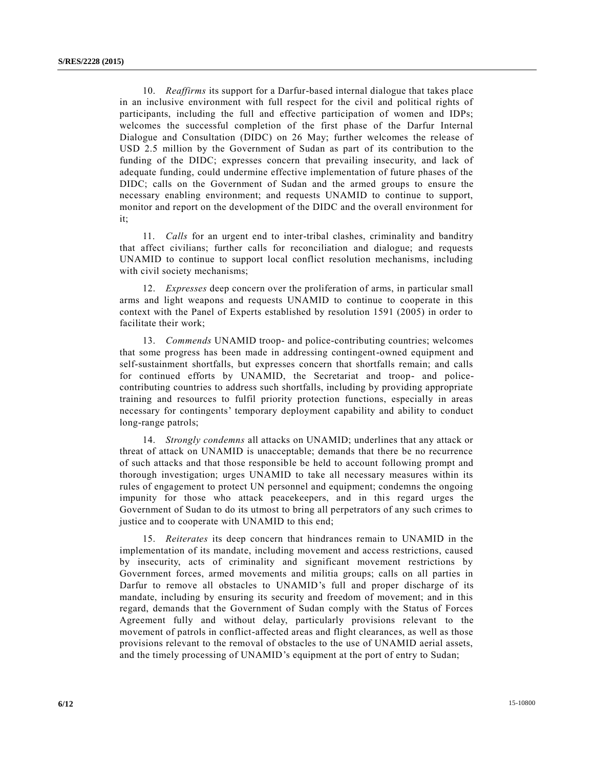10. *Reaffirms* its support for a Darfur-based internal dialogue that takes place in an inclusive environment with full respect for the civil and political rights of participants, including the full and effective participation of women and IDPs; welcomes the successful completion of the first phase of the Darfur Internal Dialogue and Consultation (DIDC) on 26 May; further welcomes the release of USD 2.5 million by the Government of Sudan as part of its contribution to the funding of the DIDC; expresses concern that prevailing insecurity, and lack of adequate funding, could undermine effective implementation of future phases of the DIDC; calls on the Government of Sudan and the armed groups to ensure the necessary enabling environment; and requests UNAMID to continue to support, monitor and report on the development of the DIDC and the overall environment for it;

11. *Calls* for an urgent end to inter-tribal clashes, criminality and banditry that affect civilians; further calls for reconciliation and dialogue; and requests UNAMID to continue to support local conflict resolution mechanisms, including with civil society mechanisms;

12. *Expresses* deep concern over the proliferation of arms, in particular small arms and light weapons and requests UNAMID to continue to cooperate in this context with the Panel of Experts established by resolution 1591 (2005) in order to facilitate their work;

13. *Commends* UNAMID troop- and police-contributing countries; welcomes that some progress has been made in addressing contingent-owned equipment and self-sustainment shortfalls, but expresses concern that shortfalls remain; and calls for continued efforts by UNAMID, the Secretariat and troop- and policecontributing countries to address such shortfalls, including by providing appropriate training and resources to fulfil priority protection functions, especially in areas necessary for contingents' temporary deployment capability and ability to conduct long-range patrols;

14. *Strongly condemns* all attacks on UNAMID; underlines that any attack or threat of attack on UNAMID is unacceptable; demands that there be no recurrence of such attacks and that those responsible be held to account following prompt and thorough investigation; urges UNAMID to take all necessary measures within its rules of engagement to protect UN personnel and equipment; condemns the ongoing impunity for those who attack peacekeepers, and in this regard urges the Government of Sudan to do its utmost to bring all perpetrators of any such crimes to justice and to cooperate with UNAMID to this end;

15. *Reiterates* its deep concern that hindrances remain to UNAMID in the implementation of its mandate, including movement and access restrictions, caused by insecurity, acts of criminality and significant movement restrictions by Government forces, armed movements and militia groups; calls on all parties in Darfur to remove all obstacles to UNAMID's full and proper discharge of its mandate, including by ensuring its security and freedom of movement; and in this regard, demands that the Government of Sudan comply with the Status of Forces Agreement fully and without delay, particularly provisions relevant to the movement of patrols in conflict-affected areas and flight clearances, as well as those provisions relevant to the removal of obstacles to the use of UNAMID aerial assets, and the timely processing of UNAMID's equipment at the port of entry to Sudan;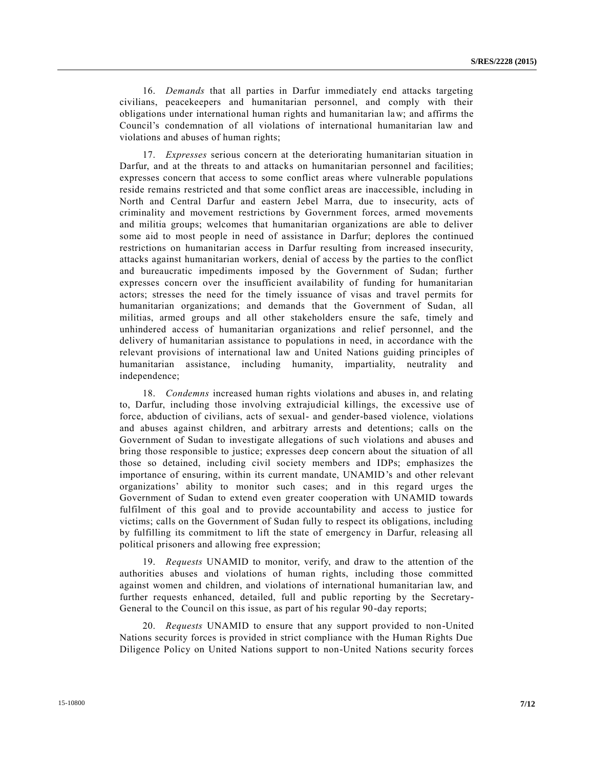16. *Demands* that all parties in Darfur immediately end attacks targeting civilians, peacekeepers and humanitarian personnel, and comply with their obligations under international human rights and humanitarian law; and affirms the Council's condemnation of all violations of international humanitarian law and violations and abuses of human rights;

17. *Expresses* serious concern at the deteriorating humanitarian situation in Darfur, and at the threats to and attacks on humanitarian personnel and facilities; expresses concern that access to some conflict areas where vulnerable populations reside remains restricted and that some conflict areas are inaccessible, including in North and Central Darfur and eastern Jebel Marra, due to insecurity, acts of criminality and movement restrictions by Government forces, armed movements and militia groups; welcomes that humanitarian organizations are able to deliver some aid to most people in need of assistance in Darfur; deplores the continued restrictions on humanitarian access in Darfur resulting from increased insecurity, attacks against humanitarian workers, denial of access by the parties to the conflict and bureaucratic impediments imposed by the Government of Sudan; further expresses concern over the insufficient availability of funding for humanitarian actors; stresses the need for the timely issuance of visas and travel permits for humanitarian organizations; and demands that the Government of Sudan, all militias, armed groups and all other stakeholders ensure the safe, timely and unhindered access of humanitarian organizations and relief personnel, and the delivery of humanitarian assistance to populations in need, in accordance with the relevant provisions of international law and United Nations guiding principles of humanitarian assistance, including humanity, impartiality, neutrality and independence;

18. *Condemns* increased human rights violations and abuses in, and relating to, Darfur, including those involving extrajudicial killings, the excessive use of force, abduction of civilians, acts of sexual- and gender-based violence, violations and abuses against children, and arbitrary arrests and detentions; calls on the Government of Sudan to investigate allegations of such violations and abuses and bring those responsible to justice; expresses deep concern about the situation of all those so detained, including civil society members and IDPs; emphasizes the importance of ensuring, within its current mandate, UNAMID's and other relevant organizations' ability to monitor such cases; and in this regard urges the Government of Sudan to extend even greater cooperation with UNAMID towards fulfilment of this goal and to provide accountability and access to justice for victims; calls on the Government of Sudan fully to respect its obligations, including by fulfilling its commitment to lift the state of emergency in Darfur, releasing all political prisoners and allowing free expression;

19. *Requests* UNAMID to monitor, verify, and draw to the attention of the authorities abuses and violations of human rights, including those committed against women and children, and violations of international humanitarian law, and further requests enhanced, detailed, full and public reporting by the Secretary-General to the Council on this issue, as part of his regular 90-day reports;

20. *Requests* UNAMID to ensure that any support provided to non-United Nations security forces is provided in strict compliance with the Human Rights Due Diligence Policy on United Nations support to non-United Nations security forces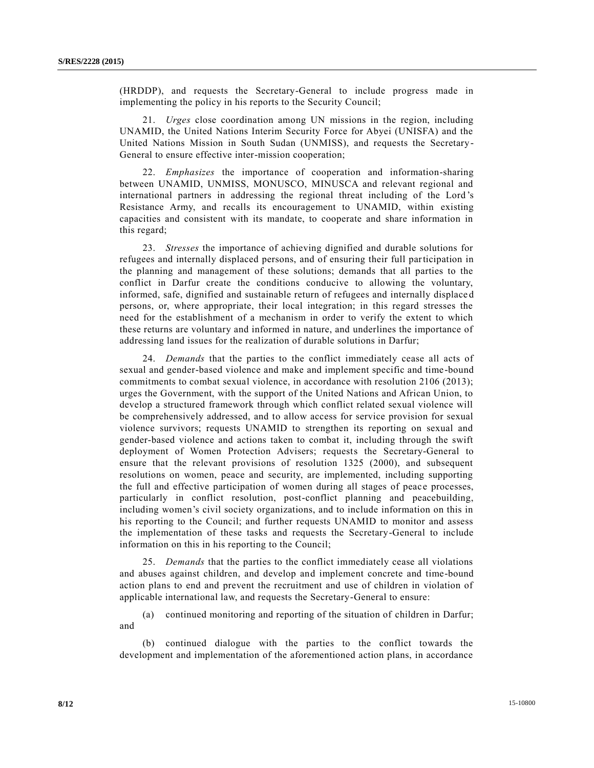(HRDDP), and requests the Secretary-General to include progress made in implementing the policy in his reports to the Security Council;

21. *Urges* close coordination among UN missions in the region, including UNAMID, the United Nations Interim Security Force for Abyei (UNISFA) and the United Nations Mission in South Sudan (UNMISS), and requests the Secretary-General to ensure effective inter-mission cooperation;

22. *Emphasizes* the importance of cooperation and information-sharing between UNAMID, UNMISS, MONUSCO, MINUSCA and relevant regional and international partners in addressing the regional threat including of the Lord 's Resistance Army, and recalls its encouragement to UNAMID, within existing capacities and consistent with its mandate, to cooperate and share information in this regard;

23. *Stresses* the importance of achieving dignified and durable solutions for refugees and internally displaced persons, and of ensuring their full participation in the planning and management of these solutions; demands that all parties to the conflict in Darfur create the conditions conducive to allowing the voluntary, informed, safe, dignified and sustainable return of refugees and internally displace d persons, or, where appropriate, their local integration; in this regard stresses the need for the establishment of a mechanism in order to verify the extent to which these returns are voluntary and informed in nature, and underlines the importance of addressing land issues for the realization of durable solutions in Darfur;

24. *Demands* that the parties to the conflict immediately cease all acts of sexual and gender-based violence and make and implement specific and time -bound commitments to combat sexual violence, in accordance with resolution 2106 (2013); urges the Government, with the support of the United Nations and African Union, to develop a structured framework through which conflict related sexual violence will be comprehensively addressed, and to allow access for service provision for sexual violence survivors; requests UNAMID to strengthen its reporting on sexual and gender-based violence and actions taken to combat it, including through the swift deployment of Women Protection Advisers; requests the Secretary-General to ensure that the relevant provisions of resolution 1325 (2000), and subsequent resolutions on women, peace and security, are implemented, including supporting the full and effective participation of women during all stages of peace processes, particularly in conflict resolution, post-conflict planning and peacebuilding, including women's civil society organizations, and to include information on this in his reporting to the Council; and further requests UNAMID to monitor and assess the implementation of these tasks and requests the Secretary-General to include information on this in his reporting to the Council;

25. *Demands* that the parties to the conflict immediately cease all violations and abuses against children, and develop and implement concrete and time-bound action plans to end and prevent the recruitment and use of children in violation of applicable international law, and requests the Secretary-General to ensure:

(a) continued monitoring and reporting of the situation of children in Darfur; and

(b) continued dialogue with the parties to the conflict towards the development and implementation of the aforementioned action plans, in accordance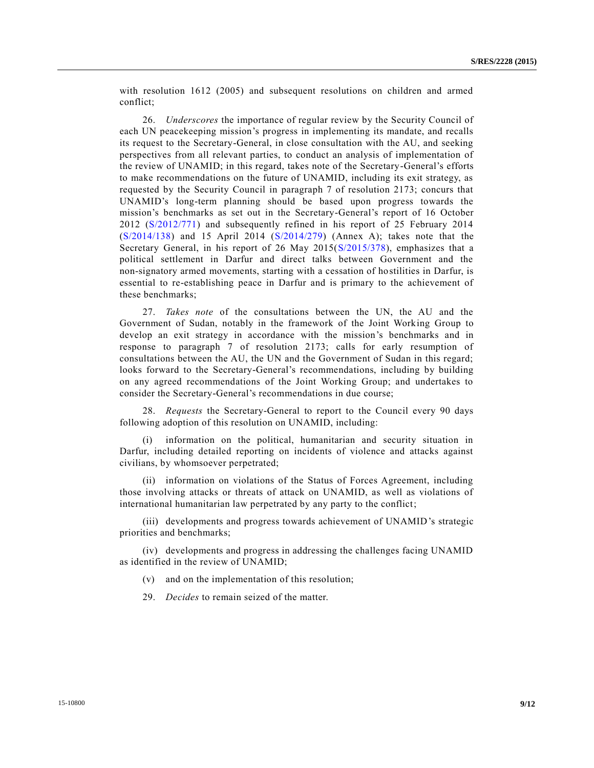with resolution 1612 (2005) and subsequent resolutions on children and armed conflict;

26. *Underscores* the importance of regular review by the Security Council of each UN peacekeeping mission's progress in implementing its mandate, and recalls its request to the Secretary-General, in close consultation with the AU, and seeking perspectives from all relevant parties, to conduct an analysis of implementation of the review of UNAMID; in this regard, takes note of the Secretary-General's efforts to make recommendations on the future of UNAMID, including its exit strategy, as requested by the Security Council in paragraph 7 of resolution 2173; concurs that UNAMID's long-term planning should be based upon progress towards the mission's benchmarks as set out in the Secretary-General's report of 16 October 2012 [\(S/2012/771\)](http://undocs.org/S/2012/771) and subsequently refined in his report of 25 February 2014 [\(S/2014/138\)](http://undocs.org/S/2014/138) and 15 April 2014 [\(S/2014/279\)](http://undocs.org/S/2014/279) (Annex A); takes note that the Secretary General, in his report of 26 May 2015[\(S/2015/378\)](http://undocs.org/S/2015/378), emphasizes that a political settlement in Darfur and direct talks between Government and the non-signatory armed movements, starting with a cessation of hostilities in Darfur, is essential to re-establishing peace in Darfur and is primary to the achievement of these benchmarks;

27. *Takes note* of the consultations between the UN, the AU and the Government of Sudan, notably in the framework of the Joint Working Group to develop an exit strategy in accordance with the mission's benchmarks and in response to paragraph 7 of resolution 2173; calls for early resumption of consultations between the AU, the UN and the Government of Sudan in this regard; looks forward to the Secretary-General's recommendations, including by building on any agreed recommendations of the Joint Working Group; and undertakes to consider the Secretary-General's recommendations in due course;

28. *Requests* the Secretary-General to report to the Council every 90 days following adoption of this resolution on UNAMID, including:

(i) information on the political, humanitarian and security situation in Darfur, including detailed reporting on incidents of violence and attacks against civilians, by whomsoever perpetrated;

(ii) information on violations of the Status of Forces Agreement, including those involving attacks or threats of attack on UNAMID, as well as violations of international humanitarian law perpetrated by any party to the conflict;

(iii) developments and progress towards achievement of UNAMID's strategic priorities and benchmarks;

(iv) developments and progress in addressing the challenges facing UNAMID as identified in the review of UNAMID;

(v) and on the implementation of this resolution;

29. *Decides* to remain seized of the matter.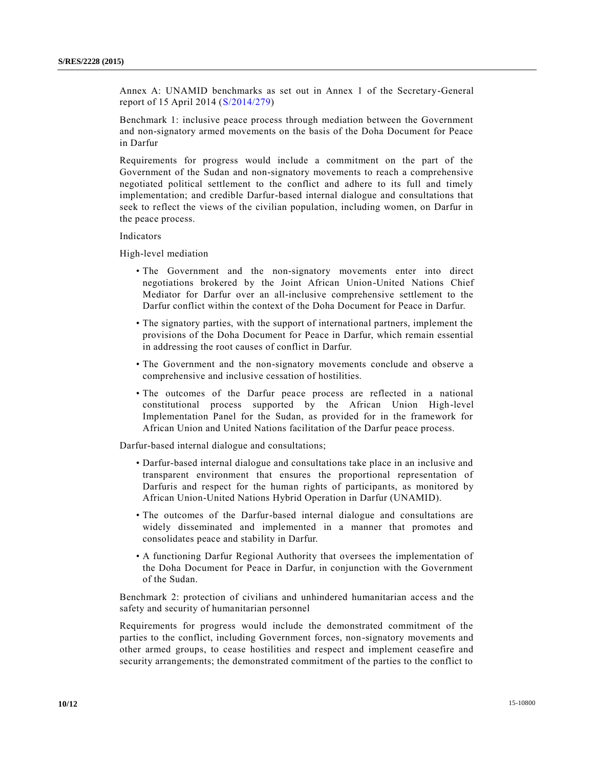Annex A: UNAMID benchmarks as set out in Annex 1 of the Secretary-General report of 15 April 2014 [\(S/2014/279\)](http://undocs.org/S/2014/279)

Benchmark 1: inclusive peace process through mediation between the Government and non-signatory armed movements on the basis of the Doha Document for Peace in Darfur

Requirements for progress would include a commitment on the part of the Government of the Sudan and non-signatory movements to reach a comprehensive negotiated political settlement to the conflict and adhere to its full and timely implementation; and credible Darfur-based internal dialogue and consultations that seek to reflect the views of the civilian population, including women, on Darfur in the peace process.

#### Indicators

High-level mediation

- The Government and the non-signatory movements enter into direct negotiations brokered by the Joint African Union-United Nations Chief Mediator for Darfur over an all-inclusive comprehensive settlement to the Darfur conflict within the context of the Doha Document for Peace in Darfur.
- The signatory parties, with the support of international partners, implement the provisions of the Doha Document for Peace in Darfur, which remain essential in addressing the root causes of conflict in Darfur.
- The Government and the non-signatory movements conclude and observe a comprehensive and inclusive cessation of hostilities.
- The outcomes of the Darfur peace process are reflected in a national constitutional process supported by the African Union High-level Implementation Panel for the Sudan, as provided for in the framework for African Union and United Nations facilitation of the Darfur peace process.

Darfur-based internal dialogue and consultations;

- Darfur-based internal dialogue and consultations take place in an inclusive and transparent environment that ensures the proportional representation of Darfuris and respect for the human rights of participants, as monitored by African Union-United Nations Hybrid Operation in Darfur (UNAMID).
- The outcomes of the Darfur-based internal dialogue and consultations are widely disseminated and implemented in a manner that promotes and consolidates peace and stability in Darfur.
- A functioning Darfur Regional Authority that oversees the implementation of the Doha Document for Peace in Darfur, in conjunction with the Government of the Sudan.

Benchmark 2: protection of civilians and unhindered humanitarian access and the safety and security of humanitarian personnel

Requirements for progress would include the demonstrated commitment of the parties to the conflict, including Government forces, non-signatory movements and other armed groups, to cease hostilities and respect and implement ceasefire and security arrangements; the demonstrated commitment of the parties to the conflict to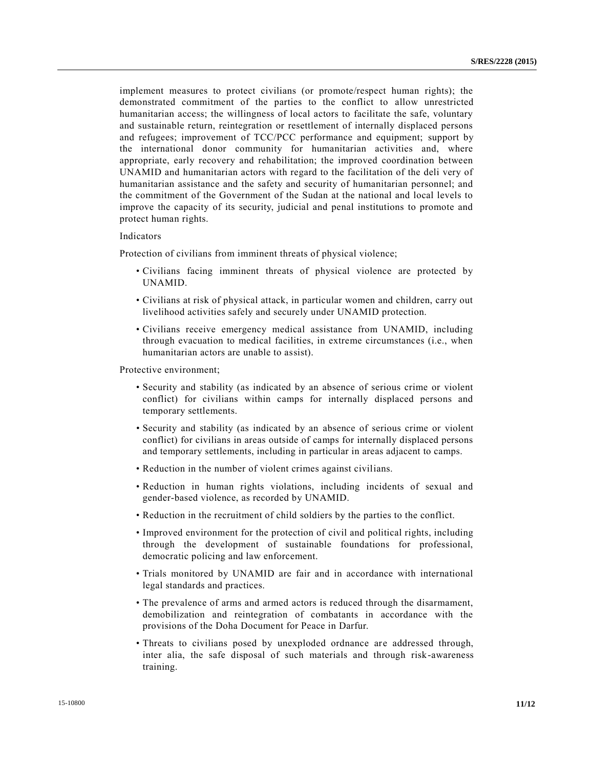implement measures to protect civilians (or promote/respect human rights); the demonstrated commitment of the parties to the conflict to allow unrestricted humanitarian access; the willingness of local actors to facilitate the safe, voluntary and sustainable return, reintegration or resettlement of internally displaced persons and refugees; improvement of TCC/PCC performance and equipment; support by the international donor community for humanitarian activities and, where appropriate, early recovery and rehabilitation; the improved coordination between UNAMID and humanitarian actors with regard to the facilitation of the deli very of humanitarian assistance and the safety and security of humanitarian personnel; and the commitment of the Government of the Sudan at the national and local levels to improve the capacity of its security, judicial and penal institutions to promote and protect human rights.

#### Indicators

Protection of civilians from imminent threats of physical violence;

- Civilians facing imminent threats of physical violence are protected by UNAMID.
- Civilians at risk of physical attack, in particular women and children, carry out livelihood activities safely and securely under UNAMID protection.
- Civilians receive emergency medical assistance from UNAMID, including through evacuation to medical facilities, in extreme circumstances (i.e., when humanitarian actors are unable to assist).

Protective environment;

- Security and stability (as indicated by an absence of serious crime or violent conflict) for civilians within camps for internally displaced persons and temporary settlements.
- Security and stability (as indicated by an absence of serious crime or violent conflict) for civilians in areas outside of camps for internally displaced persons and temporary settlements, including in particular in areas adjacent to camps.
- Reduction in the number of violent crimes against civilians.
- Reduction in human rights violations, including incidents of sexual and gender-based violence, as recorded by UNAMID.
- Reduction in the recruitment of child soldiers by the parties to the conflict.
- Improved environment for the protection of civil and political rights, including through the development of sustainable foundations for professional, democratic policing and law enforcement.
- Trials monitored by UNAMID are fair and in accordance with international legal standards and practices.
- The prevalence of arms and armed actors is reduced through the disarmament, demobilization and reintegration of combatants in accordance with the provisions of the Doha Document for Peace in Darfur.
- Threats to civilians posed by unexploded ordnance are addressed through, inter alia, the safe disposal of such materials and through risk-awareness training.